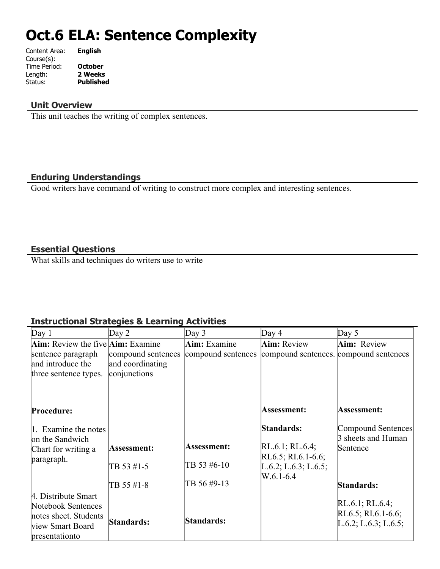# **Oct.6 ELA: Sentence Complexity**

| Content Area: | <b>English</b>   |
|---------------|------------------|
| Course(s):    |                  |
| Time Period:  | <b>October</b>   |
| Length:       | 2 Weeks          |
| Status:       | <b>Published</b> |
|               |                  |

#### **Unit Overview**

This unit teaches the writing of complex sentences.

#### **Enduring Understandings**

Good writers have command of writing to construct more complex and interesting sentences.

#### **Essential Questions**

What skills and techniques do writers use to write

### **Instructional Strategies & Learning Activities**

| Day 1                                                                                                    | Day $2$            | Day $3$            | Day $4$                                                    | Day $5$                                                             |
|----------------------------------------------------------------------------------------------------------|--------------------|--------------------|------------------------------------------------------------|---------------------------------------------------------------------|
| <b>Aim:</b> Review the five <b>Aim:</b> Examine                                                          |                    | Aim: Examine       | <b>Aim:</b> Review                                         | Aim: Review                                                         |
| sentence paragraph                                                                                       | compound sentences | compound sentences | compound sentences. compound sentences                     |                                                                     |
| and introduce the                                                                                        | and coordinating   |                    |                                                            |                                                                     |
| three sentence types.                                                                                    | conjunctions       |                    |                                                            |                                                                     |
|                                                                                                          |                    |                    |                                                            |                                                                     |
| Procedure:                                                                                               |                    |                    | Assessment:                                                | Assessment:                                                         |
| 1. Examine the notes<br>on the Sandwich                                                                  | Assessment:        | Assessment:        | Standards:<br>$RL.6.1$ ; RL.6.4;                           | Compound Sentences<br>3 sheets and Human<br>Sentence                |
| Chart for writing a<br>paragraph.                                                                        | TB 53 #1-5         | TB 53 #6-10        | $RL6.5$ ; RI.6.1-6.6;<br>L.6.2; L.6.3; L.6.5;<br>W.6.1-6.4 |                                                                     |
|                                                                                                          | TB 55 #1-8         | TB 56 #9-13        |                                                            | Standards:                                                          |
| 4. Distribute Smart<br>Notebook Sentences<br>notes sheet. Students<br>view Smart Board<br>presentationto | Standards:         | Standards:         |                                                            | $RL.6.1$ ; RL.6.4;<br>$RL6.5$ ; RI.6.1-6.6;<br>L.6.2; L.6.3; L.6.5; |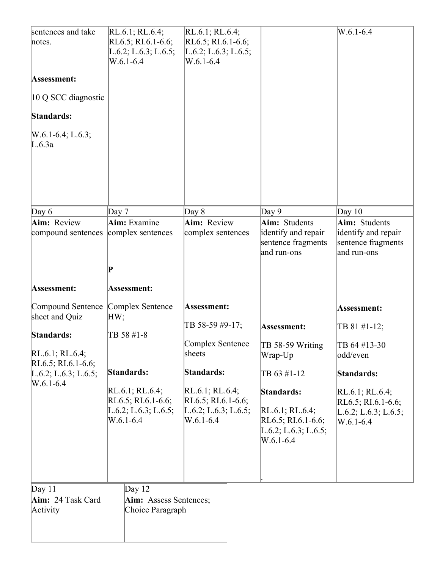| sentences and take<br>notes.<br>Assessment:<br>10 Q SCC diagnostic<br>Standards:<br>$W.6.1-6.4; L.6.3;$<br>L.6.3a                      | RL.6.1; RL.6.4;<br>RL $6.5$ ; RI $.6.1 - 6.6$ ;<br>L.6.2; L.6.3; L.6.5;<br>$W.6.1 - 6.4$                                             | $RL.6.1$ ; RL.6.4;<br>$RL6.5$ ; RI.6.1-6.6;<br>L.6.2; L.6.3; L.6.5;<br>$W.6.1 - 6.4$                                                                         |                                                                                                                                                             | $W.6.1 - 6.4$                                                                                                                                              |
|----------------------------------------------------------------------------------------------------------------------------------------|--------------------------------------------------------------------------------------------------------------------------------------|--------------------------------------------------------------------------------------------------------------------------------------------------------------|-------------------------------------------------------------------------------------------------------------------------------------------------------------|------------------------------------------------------------------------------------------------------------------------------------------------------------|
| Day $6$                                                                                                                                | Day 7                                                                                                                                | Day 8                                                                                                                                                        | Day 9                                                                                                                                                       | Day $10$                                                                                                                                                   |
| Aim: Review<br>compound sentences                                                                                                      | Aim: Examine<br>complex sentences<br>$ {\bf P} $                                                                                     | Aim: Review<br>complex sentences                                                                                                                             | Aim: Students<br>identify and repair<br>sentence fragments<br>and run-ons                                                                                   | Aim: Students<br>identify and repair<br>sentence fragments<br>and run-ons                                                                                  |
| Assessment:                                                                                                                            | Assessment:                                                                                                                          |                                                                                                                                                              |                                                                                                                                                             |                                                                                                                                                            |
| Compound Sentence<br>sheet and Quiz<br>Standards:<br>$RL.6.1$ ; RL.6.4;<br>RL6.5; RI.6.1-6.6;<br>L.6.2; L.6.3; L.6.5;<br>$W.6.1 - 6.4$ | Complex Sentence<br>HW;<br>TB 58 #1-8<br>Standards:<br>$RL.6.1$ ; RL.6.4;<br>RL6.5; RI.6.1-6.6;<br>L.6.2; L.6.3; L.6.5;<br>W.6.1-6.4 | Assessment:<br>TB 58-59 #9-17;<br>Complex Sentence<br>sheets<br>Standards:<br>RL.6.1; RL.6.4;<br>RL6.5; RI.6.1-6.6;<br>L.6.2; L.6.3; L.6.5;<br>$W.6.1 - 6.4$ | Assessment:<br>TB 58-59 Writing<br>Wrap-Up<br>TB 63 #1-12<br>Standards:<br>$RL.6.1$ ; RL.6.4;<br>$RL6.5$ ; RI.6.1-6.6;<br>L.6.2; L.6.3; L.6.5;<br>W.6.1-6.4 | Assessment:<br>TB 81 #1-12;<br>TB 64 #13-30<br>odd/even<br>Standards:<br>$RL.6.1$ ; RL.6.4;<br>RL6.5; RI.6.1-6.6;<br>L.6.2; L.6.3; L.6.5;<br>$W.6.1 - 6.4$ |
| Day $11$<br>Aim: 24 Task Card<br>Activity                                                                                              | Day $12$<br>Aim: Assess Sentences;<br>Choice Paragraph                                                                               |                                                                                                                                                              |                                                                                                                                                             |                                                                                                                                                            |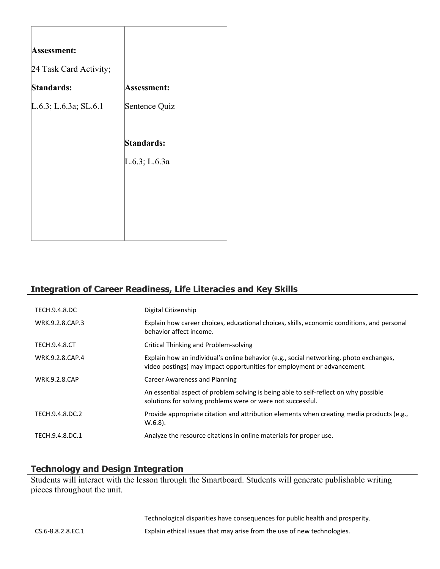| Assessment:              |                    |
|--------------------------|--------------------|
| 24 Task Card Activity;   |                    |
| Standards:               | <b>Assessment:</b> |
| $L.6.3$ ; L.6.3a; SL.6.1 | Sentence Quiz      |
|                          |                    |
|                          | <b>Standards:</b>  |
|                          | L.6.3; L.6.3a      |
|                          |                    |
|                          |                    |
|                          |                    |
|                          |                    |

# **Integration of Career Readiness, Life Literacies and Key Skills**

| TECH.9.4.8.DC        | Digital Citizenship                                                                                                                                               |
|----------------------|-------------------------------------------------------------------------------------------------------------------------------------------------------------------|
| WRK.9.2.8.CAP.3      | Explain how career choices, educational choices, skills, economic conditions, and personal<br>behavior affect income.                                             |
| <b>TECH.9.4.8.CT</b> | Critical Thinking and Problem-solving                                                                                                                             |
| WRK.9.2.8.CAP.4      | Explain how an individual's online behavior (e.g., social networking, photo exchanges,<br>video postings) may impact opportunities for employment or advancement. |
| <b>WRK.9.2.8.CAP</b> | Career Awareness and Planning                                                                                                                                     |
|                      | An essential aspect of problem solving is being able to self-reflect on why possible<br>solutions for solving problems were or were not successful.               |
| TECH.9.4.8.DC.2      | Provide appropriate citation and attribution elements when creating media products (e.g.,<br>$W.6.8$ ).                                                           |
| TECH.9.4.8.DC.1      | Analyze the resource citations in online materials for proper use.                                                                                                |

# **Technology and Design Integration**

Students will interact with the lesson through the Smartboard. Students will generate publishable writing pieces throughout the unit.

Technological disparities have consequences for public health and prosperity. CS.6-8.8.2.8.EC.1 Explain ethical issues that may arise from the use of new technologies.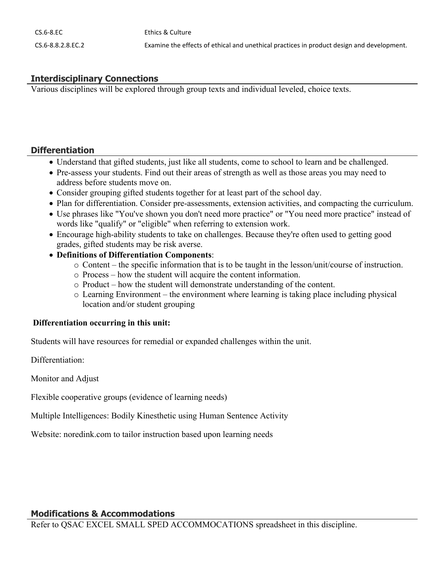# **Interdisciplinary Connections**

Various disciplines will be explored through group texts and individual leveled, choice texts.

#### **Differentiation**

- Understand that gifted students, just like all students, come to school to learn and be challenged.
- Pre-assess your students. Find out their areas of strength as well as those areas you may need to address before students move on.
- Consider grouping gifted students together for at least part of the school day.
- Plan for differentiation. Consider pre-assessments, extension activities, and compacting the curriculum.
- Use phrases like "You've shown you don't need more practice" or "You need more practice" instead of words like "qualify" or "eligible" when referring to extension work.
- Encourage high-ability students to take on challenges. Because they're often used to getting good grades, gifted students may be risk averse.
- **Definitions of Differentiation Components**:
	- o Content the specific information that is to be taught in the lesson/unit/course of instruction.
	- o Process how the student will acquire the content information.
	- o Product how the student will demonstrate understanding of the content.
	- o Learning Environment the environment where learning is taking place including physical location and/or student grouping

#### **Differentiation occurring in this unit:**

Students will have resources for remedial or expanded challenges within the unit.

Differentiation:

Monitor and Adjust

Flexible cooperative groups (evidence of learning needs)

Multiple Intelligences: Bodily Kinesthetic using Human Sentence Activity

Website: noredink.com to tailor instruction based upon learning needs

#### **Modifications & Accommodations**

Refer to QSAC EXCEL SMALL SPED ACCOMMOCATIONS spreadsheet in this discipline.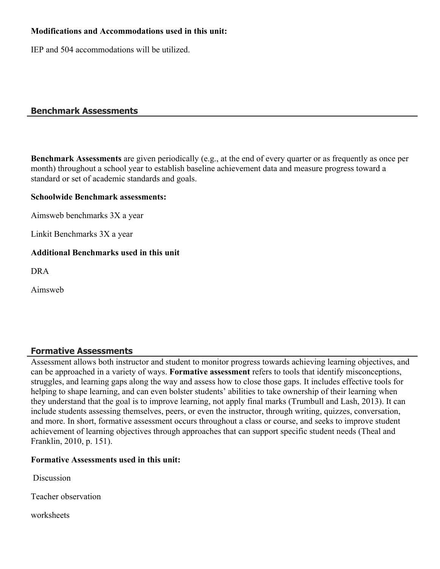#### **Modifications and Accommodations used in this unit:**

IEP and 504 accommodations will be utilized.

#### **Benchmark Assessments**

**Benchmark Assessments** are given periodically (e.g., at the end of every quarter or as frequently as once per month) throughout a school year to establish baseline achievement data and measure progress toward a standard or set of academic standards and goals.

#### **Schoolwide Benchmark assessments:**

Aimsweb benchmarks 3X a year

Linkit Benchmarks 3X a year

#### **Additional Benchmarks used in this unit**

DRA

Aimsweb

## **Formative Assessments**

Assessment allows both instructor and student to monitor progress towards achieving learning objectives, and can be approached in a variety of ways. **Formative assessment** refers to tools that identify misconceptions, struggles, and learning gaps along the way and assess how to close those gaps. It includes effective tools for helping to shape learning, and can even bolster students' abilities to take ownership of their learning when they understand that the goal is to improve learning, not apply final marks (Trumbull and Lash, 2013). It can include students assessing themselves, peers, or even the instructor, through writing, quizzes, conversation, and more. In short, formative assessment occurs throughout a class or course, and seeks to improve student achievement of learning objectives through approaches that can support specific student needs (Theal and Franklin, 2010, p. 151).

#### **Formative Assessments used in this unit:**

**Discussion** 

Teacher observation

worksheets